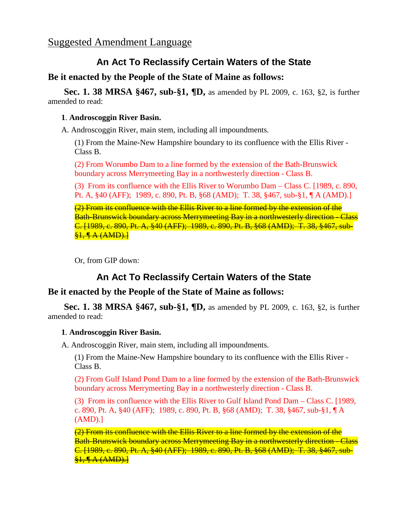## **An Act To Reclassify Certain Waters of the State**

**Be it enacted by the People of the State of Maine as follows:**

**Sec. 1. 38 MRSA §467, sub-§1, ¶D,** as amended by PL 2009, c. 163, §2, is further amended to read:

### **1**. **Androscoggin River Basin.**

A. Androscoggin River, main stem, including all impoundments.

(1) From the Maine-New Hampshire boundary to its confluence with the Ellis River - Class B.

(2) From Worumbo Dam to a line formed by the extension of the Bath-Brunswick boundary across Merrymeeting Bay in a northwesterly direction - Class B.

(3) From its confluence with the Ellis River to Worumbo Dam – Class C. [1989, c. 890, Pt. A, §40 (AFF); 1989, c. 890, Pt. B, §68 (AMD); T. 38, §467, sub-§1, ¶ A (AMD).]

(2) From its confluence with the Ellis River to a line formed by the extension of the Bath-Brunswick boundary across Merrymeeting Bay in a northwesterly direction - Class C. [1989, c. 890, Pt. A, §40 (AFF); 1989, c. 890, Pt. B, §68 (AMD); T. 38, §467, sub-  $$1, 4A (AMD).]$ 

Or, from GIP down:

# **An Act To Reclassify Certain Waters of the State**

### **Be it enacted by the People of the State of Maine as follows:**

**Sec. 1. 38 MRSA §467, sub-§1, ¶D,** as amended by PL 2009, c. 163, §2, is further amended to read:

#### **1**. **Androscoggin River Basin.**

A. Androscoggin River, main stem, including all impoundments.

(1) From the Maine-New Hampshire boundary to its confluence with the Ellis River - Class B.

(2) From Gulf Island Pond Dam to a line formed by the extension of the Bath-Brunswick boundary across Merrymeeting Bay in a northwesterly direction - Class B.

(3) From its confluence with the Ellis River to Gulf Island Pond Dam – Class C. [1989, c. 890, Pt. A, §40 (AFF); 1989, c. 890, Pt. B, §68 (AMD); T. 38, §467, sub-§1, ¶ A (AMD).]

(2) From its confluence with the Ellis River to a line formed by the extension of the Bath-Brunswick boundary across Merrymeeting Bay in a northwesterly direction - Class C. [1989, c. 890, Pt. A, §40 (AFF); 1989, c. 890, Pt. B, §68 (AMD); T. 38, §467, sub-  $$1.$   $A$  (AMD).